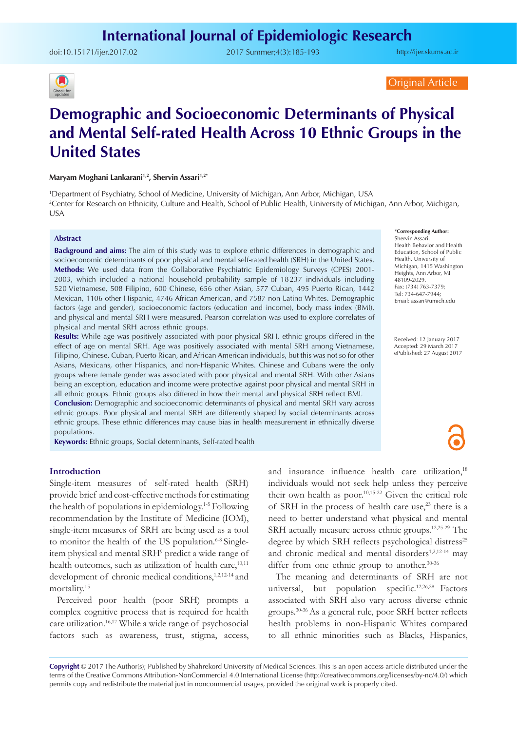doi:[10.15171/ijer.2017.02](http://dx.doi.org/10.15171/ijer.2017.02) 2017 Summer;4(3):185-193

<http://ijer.skums.ac.ir>

## $\left( \blacksquare \right)$ Check for

Original Article

# **Demographic and Socioeconomic Determinants of Physical and Mental Self-rated Health Across 10 Ethnic Groups in the United States**

#### **Maryam Moghani Lankarani1,2, Shervin Assari1,2\***

1 Department of Psychiatry, School of Medicine, University of Michigan, Ann Arbor, Michigan, USA 2 Center for Research on Ethnicity, Culture and Health, School of Public Health, University of Michigan, Ann Arbor, Michigan, USA

#### **Abstract**

**Background and aims:** The aim of this study was to explore ethnic differences in demographic and socioeconomic determinants of poor physical and mental self-rated health (SRH) in the United States. **Methods:** We used data from the Collaborative Psychiatric Epidemiology Surveys (CPES) 2001- 2003, which included a national household probability sample of 18237 individuals including 520 Vietnamese, 508 Filipino, 600 Chinese, 656 other Asian, 577 Cuban, 495 Puerto Rican, 1442 Mexican, 1106 other Hispanic, 4746 African American, and 7587 non-Latino Whites. Demographic factors (age and gender), socioeconomic factors (education and income), body mass index (BMI), and physical and mental SRH were measured. Pearson correlation was used to explore correlates of physical and mental SRH across ethnic groups.

**Results:** While age was positively associated with poor physical SRH, ethnic groups differed in the effect of age on mental SRH. Age was positively associated with mental SRH among Vietnamese, Filipino, Chinese, Cuban, Puerto Rican, and African American individuals, but this was not so for other Asians, Mexicans, other Hispanics, and non-Hispanic Whites. Chinese and Cubans were the only groups where female gender was associated with poor physical and mental SRH. With other Asians being an exception, education and income were protective against poor physical and mental SRH in all ethnic groups. Ethnic groups also differed in how their mental and physical SRH reflect BMI.

**Conclusion:** Demographic and socioeconomic determinants of physical and mental SRH vary across ethnic groups. Poor physical and mental SRH are differently shaped by social determinants across ethnic groups. These ethnic differences may cause bias in health measurement in ethnically diverse populations.

**Keywords:** Ethnic groups, Social determinants, Self-rated health

#### \***Corresponding Author:**

Shervin Assari, Health Behavior and Health Education, School of Public Health, University of Michigan, 1415 Washington Heights, Ann Arbor, MI 48109-2029. Fax: (734) 763-7379; Tel: 734-647-7944; Email: assari@umich.edu

Received: 12 January 2017 Accepted: 29 March 2017 ePublished: 27 August 2017

#### **Introduction**

Single-item measures of self-rated health (SRH) provide brief and cost-effective methods for estimating the health of populations in epidemiology.1-5 Following recommendation by the Institute of Medicine (IOM), single-item measures of SRH are being used as a tool to monitor the health of the US population.<sup>6-8</sup> Singleitem physical and mental SRH<sup>9</sup> predict a wide range of health outcomes, such as utilization of health care,<sup>10,11</sup> development of chronic medical conditions,<sup>1,2,12-14</sup> and mortality.15

Perceived poor health (poor SRH) prompts a complex cognitive process that is required for health care utilization.16,17 While a wide range of psychosocial factors such as awareness, trust, stigma, access,

and insurance influence health care utilization,<sup>18</sup> individuals would not seek help unless they perceive their own health as poor.10,15-22 Given the critical role of SRH in the process of health care use,<sup>23</sup> there is a need to better understand what physical and mental SRH actually measure across ethnic groups.12,25-29 The degree by which SRH reflects psychological distress<sup>25</sup> and chronic medical and mental disorders<sup>1,2,12-14</sup> may differ from one ethnic group to another.<sup>30-36</sup>

The meaning and determinants of SRH are not universal, but population specific.<sup>12,26,28</sup> Factors associated with SRH also vary across diverse ethnic groups.30-36 As a general rule, poor SRH better reflects health problems in non-Hispanic Whites compared to all ethnic minorities such as Blacks, Hispanics,

**Copyright** © 2017 The Author(s); Published by Shahrekord University of Medical Sciences. This is an open access article distributed under the terms of the Creative Commons Attribution-NonCommercial 4.0 International License (<http://creativecommons.org/licenses/by-nc/4.0/>) which permits copy and redistribute the material just in noncommercial usages, provided the original work is properly cited.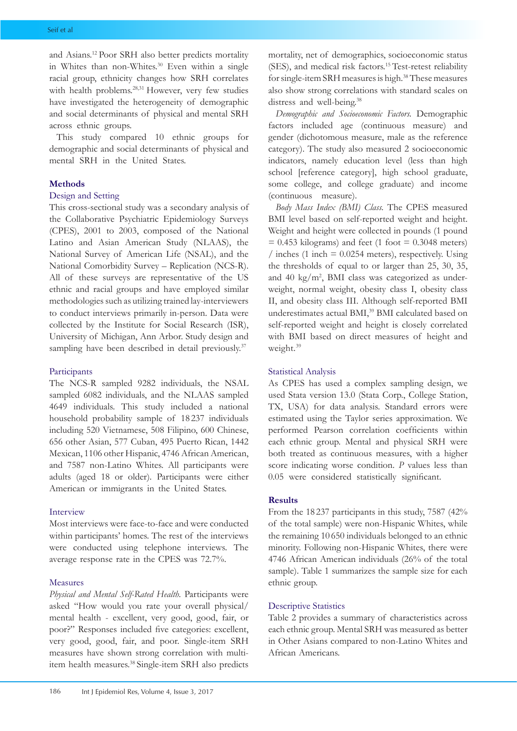and Asians.12 Poor SRH also better predicts mortality in Whites than non-Whites.<sup>30</sup> Even within a single racial group, ethnicity changes how SRH correlates with health problems.<sup>28,31</sup> However, very few studies have investigated the heterogeneity of demographic and social determinants of physical and mental SRH across ethnic groups.

This study compared 10 ethnic groups for demographic and social determinants of physical and mental SRH in the United States.

#### **Methods**

### Design and Setting

This cross-sectional study was a secondary analysis of the Collaborative Psychiatric Epidemiology Surveys (CPES), 2001 to 2003, composed of the National Latino and Asian American Study (NLAAS), the National Survey of American Life (NSAL), and the National Comorbidity Survey – Replication (NCS-R). All of these surveys are representative of the US ethnic and racial groups and have employed similar methodologies such as utilizing trained lay-interviewers to conduct interviews primarily in-person. Data were collected by the Institute for Social Research (ISR), University of Michigan, Ann Arbor. Study design and sampling have been described in detail previously.<sup>37</sup>

#### Participants

The NCS-R sampled 9282 individuals, the NSAL sampled 6082 individuals, and the NLAAS sampled 4649 individuals. This study included a national household probability sample of 18 237 individuals including 520 Vietnamese, 508 Filipino, 600 Chinese, 656 other Asian, 577 Cuban, 495 Puerto Rican, 1442 Mexican, 1106 other Hispanic, 4746 African American, and 7587 non-Latino Whites. All participants were adults (aged 18 or older). Participants were either American or immigrants in the United States.

#### Interview

Most interviews were face-to-face and were conducted within participants' homes. The rest of the interviews were conducted using telephone interviews. The average response rate in the CPES was 72.7%.

#### Measures

*Physical and Mental Self-Rated Health.* Participants were asked "How would you rate your overall physical/ mental health - excellent, very good, good, fair, or poor?" Responses included five categories: excellent, very good, good, fair, and poor. Single-item SRH measures have shown strong correlation with multiitem health measures.38 Single-item SRH also predicts

186 Int J Epidemiol Res, Volume 4, Issue 3, 2017

mortality, net of demographics, socioeconomic status (SES), and medical risk factors.15 Test-retest reliability for single-item SRH measures is high.<sup>38</sup> These measures also show strong correlations with standard scales on distress and well-being.<sup>38</sup>

*Demographic and Socioeconomic Factors.* Demographic factors included age (continuous measure) and gender (dichotomous measure, male as the reference category). The study also measured 2 socioeconomic indicators, namely education level (less than high school [reference category], high school graduate, some college, and college graduate) and income (continuous measure).

*Body Mass Index (BMI) Class.* The CPES measured BMI level based on self-reported weight and height. Weight and height were collected in pounds (1 pound  $= 0.453$  kilograms) and feet (1 foot  $= 0.3048$  meters) / inches (1 inch  $= 0.0254$  meters), respectively. Using the thresholds of equal to or larger than 25, 30, 35, and 40 kg/m<sup>2</sup>, BMI class was categorized as underweight, normal weight, obesity class I, obesity class II, and obesity class III. Although self-reported BMI underestimates actual BMI,<sup>39</sup> BMI calculated based on self-reported weight and height is closely correlated with BMI based on direct measures of height and weight.39

#### Statistical Analysis

As CPES has used a complex sampling design, we used Stata version 13.0 (Stata Corp., College Station, TX, USA) for data analysis. Standard errors were estimated using the Taylor series approximation. We performed Pearson correlation coefficients within each ethnic group. Mental and physical SRH were both treated as continuous measures, with a higher score indicating worse condition. *P* values less than 0.05 were considered statistically significant.

#### **Results**

From the 18 237 participants in this study, 7587 (42% of the total sample) were non-Hispanic Whites, while the remaining 10 650 individuals belonged to an ethnic minority. Following non-Hispanic Whites, there were 4746 African American individuals (26% of the total sample). Table 1 summarizes the sample size for each ethnic group.

#### Descriptive Statistics

Table 2 provides a summary of characteristics across each ethnic group. Mental SRH was measured as better in Other Asians compared to non-Latino Whites and African Americans.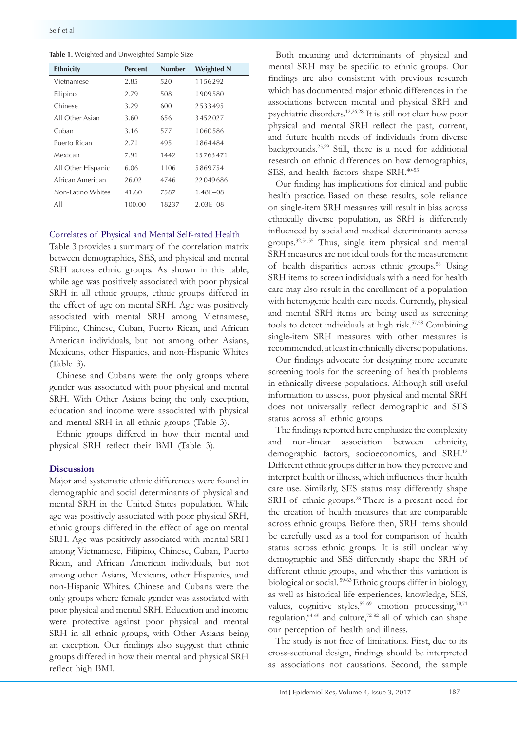|  |  | Table 1. Weighted and Unweighted Sample Size |  |  |
|--|--|----------------------------------------------|--|--|
|--|--|----------------------------------------------|--|--|

| <b>Ethnicity</b>   | <b>Percent</b> | <b>Number</b> | <b>Weighted N</b> |
|--------------------|----------------|---------------|-------------------|
| Vietnamese         | 2.85           | 520           | 1156292           |
| Filipino           | 2.79           | 508           | 1909580           |
| Chinese            | 3.29           | 600           | 2533495           |
| All Other Asian    | 3.60           | 656           | 3452027           |
| Cuban              | 3.16           | 577           | 1060586           |
| Puerto Rican       | 2.71           | 495           | 1864484           |
| Mexican            | 7.91           | 1442          | 15763471          |
| All Other Hispanic | 6.06           | 1106          | 5869754           |
| African American   | 26.02          | 4746          | 22049686          |
| Non-Latino Whites  | 41.60          | 7587          | $1.48E + 08$      |
| All                | 100.00         | 18237         | $2.03F + 08$      |

#### Correlates of Physical and Mental Self-rated Health

Table 3 provides a summary of the correlation matrix between demographics, SES, and physical and mental SRH across ethnic groups. As shown in this table, while age was positively associated with poor physical SRH in all ethnic groups, ethnic groups differed in the effect of age on mental SRH. Age was positively associated with mental SRH among Vietnamese, Filipino, Chinese, Cuban, Puerto Rican, and African American individuals, but not among other Asians, Mexicans, other Hispanics, and non-Hispanic Whites (Table 3).

Chinese and Cubans were the only groups where gender was associated with poor physical and mental SRH. With Other Asians being the only exception, education and income were associated with physical and mental SRH in all ethnic groups (Table 3).

Ethnic groups differed in how their mental and physical SRH reflect their BMI (Table 3).

#### **Discussion**

Major and systematic ethnic differences were found in demographic and social determinants of physical and mental SRH in the United States population. While age was positively associated with poor physical SRH, ethnic groups differed in the effect of age on mental SRH. Age was positively associated with mental SRH among Vietnamese, Filipino, Chinese, Cuban, Puerto Rican, and African American individuals, but not among other Asians, Mexicans, other Hispanics, and non-Hispanic Whites. Chinese and Cubans were the only groups where female gender was associated with poor physical and mental SRH. Education and income were protective against poor physical and mental SRH in all ethnic groups, with Other Asians being an exception. Our findings also suggest that ethnic groups differed in how their mental and physical SRH reflect high BMI.

Both meaning and determinants of physical and mental SRH may be specific to ethnic groups. Our findings are also consistent with previous research which has documented major ethnic differences in the associations between mental and physical SRH and psychiatric disorders.12,26,28 It is still not clear how poor physical and mental SRH reflect the past, current, and future health needs of individuals from diverse backgrounds.25,29 Still, there is a need for additional research on ethnic differences on how demographics, SES, and health factors shape SRH.<sup>40-53</sup>

Our finding has implications for clinical and public health practice. Based on these results, sole reliance on single-item SRH measures will result in bias across ethnically diverse population, as SRH is differently influenced by social and medical determinants across groups.32,54,55 Thus, single item physical and mental SRH measures are not ideal tools for the measurement of health disparities across ethnic groups.<sup>56</sup> Using SRH items to screen individuals with a need for health care may also result in the enrollment of a population with heterogenic health care needs. Currently, physical and mental SRH items are being used as screening tools to detect individuals at high risk.57,58 Combining single-item SRH measures with other measures is recommended, at least in ethnically diverse populations.

Our findings advocate for designing more accurate screening tools for the screening of health problems in ethnically diverse populations. Although still useful information to assess, poor physical and mental SRH does not universally reflect demographic and SES status across all ethnic groups.

The findings reported here emphasize the complexity and non-linear association between ethnicity, demographic factors, socioeconomics, and SRH.12 Different ethnic groups differ in how they perceive and interpret health or illness, which influences their health care use. Similarly, SES status may differently shape SRH of ethnic groups.<sup>28</sup> There is a present need for the creation of health measures that are comparable across ethnic groups. Before then, SRH items should be carefully used as a tool for comparison of health status across ethnic groups. It is still unclear why demographic and SES differently shape the SRH of different ethnic groups, and whether this variation is biological or social. 59-63 Ethnic groups differ in biology, as well as historical life experiences, knowledge, SES, values, cognitive styles,  $59-69$  emotion processing,  $70,71$ regulation,  $64-69$  and culture,  $72-82$  all of which can shape our perception of health and illness.

The study is not free of limitations. First, due to its cross-sectional design, findings should be interpreted as associations not causations. Second, the sample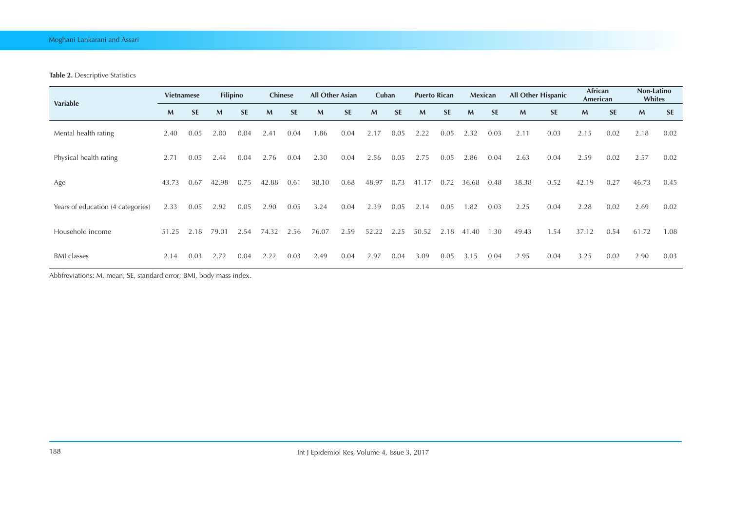#### **Table 2.** Descriptive Statistics

| <b>Variable</b>                   | <b>Vietnamese</b> |           | <b>Filipino</b> |           | <b>Chinese</b> |           | <b>All Other Asian</b> |           | Cuban        |           | <b>Puerto Rican</b> |           |       | Mexican   | <b>All Other Hispanic</b> |           | African<br>American |           | Non-Latino<br>Whites |           |
|-----------------------------------|-------------------|-----------|-----------------|-----------|----------------|-----------|------------------------|-----------|--------------|-----------|---------------------|-----------|-------|-----------|---------------------------|-----------|---------------------|-----------|----------------------|-----------|
|                                   | M                 | <b>SE</b> | M               | <b>SE</b> | M              | <b>SE</b> | M                      | <b>SE</b> | $\mathbf{M}$ | <b>SE</b> | $\mathsf{M}$        | <b>SE</b> | M     | <b>SE</b> | $\mathsf{M}$              | <b>SE</b> | M                   | <b>SE</b> | M                    | <b>SE</b> |
| Mental health rating              | 2.40              | 0.05      | 2.00            | 0.04      | 2.41           | 0.04      | 1.86                   | 0.04      | 2.17         | 0.05      | 2.22                | 0.05      | 2.32  | 0.03      | 2.11                      | 0.03      | 2.15                | 0.02      | 2.18                 | 0.02      |
| Physical health rating            | 2.71              | 0.05      | 2.44            | 0.04      | 2.76           | 0.04      | 2.30                   | 0.04      | 2.56         | 0.05      | 2.75                | 0.05      | 2.86  | 0.04      | 2.63                      | 0.04      | 2.59                | 0.02      | 2.57                 | 0.02      |
| Age                               | 43.73             | 0.67      | 42.98           | 0.75      | 42.88          | 0.61      | 38.10                  | 0.68      | 48.97        | 0.73      | 41.17               | 0.72      | 36.68 | 0.48      | 38.38                     | 0.52      | 42.19               | 0.27      | 46.73                | 0.45      |
| Years of education (4 categories) | 2.33              | 0.05      | 2.92            | 0.05      | 2.90           | 0.05      | 3.24                   | 0.04      | 2.39         | 0.05      | 2.14                | 0.05      | .82   | 0.03      | 2.25                      | 0.04      | 2.28                | 0.02      | 2.69                 | 0.02      |
| Household income                  | 51.25             | 2.18      | 79.01           | 2.54      | 74.32          | 2.56      | 76.07                  | 2.59      | 52.22        | 2.25      | 50.52               | 2.18      | 41.40 | .30       | 49.43                     | .54       | 37.12               | 0.54      | 61.72                | 1.08      |
| <b>BMI</b> classes                | 2.14              | 0.03      | 2.72            | 0.04      | 2.22           | 0.03      | 2.49                   | 0.04      | 2.97         | 0.04      | 3.09                | 0.05      | 3.15  | 0.04      | 2.95                      | 0.04      | 3.25                | 0.02      | 2.90                 | 0.03      |

Abbfreviations: M, mean; SE, standard error; BMI, body mass index.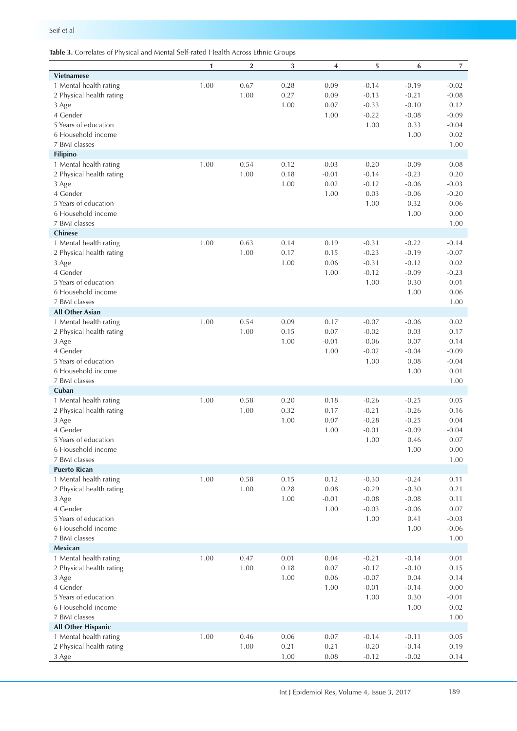|                          | 1    | $\overline{\mathbf{2}}$ | $\sqrt{3}$ | 4       | 5       | 6                  | $\overline{7}$ |
|--------------------------|------|-------------------------|------------|---------|---------|--------------------|----------------|
| <b>Vietnamese</b>        |      |                         |            |         |         |                    |                |
| 1 Mental health rating   | 1.00 | 0.67                    | 0.28       | 0.09    | $-0.14$ | $-0.19$            | $-0.02$        |
| 2 Physical health rating |      | 1.00                    | 0.27       | 0.09    | $-0.13$ | $-0.21$            | $-0.08$        |
| 3 Age                    |      |                         | 1.00       | 0.07    | $-0.33$ | $-0.10$            | 0.12           |
| 4 Gender                 |      |                         |            | 1.00    | $-0.22$ | $-0.08$            | $-0.09$        |
| 5 Years of education     |      |                         |            |         | 1.00    | 0.33               | $-0.04$        |
| 6 Household income       |      |                         |            |         |         | 1.00               | 0.02           |
| 7 BMI classes            |      |                         |            |         |         |                    | 1.00           |
| Filipino                 |      |                         |            |         |         |                    |                |
| 1 Mental health rating   | 1.00 | 0.54                    | 0.12       | $-0.03$ | $-0.20$ | $-0.09$            | 0.08           |
| 2 Physical health rating |      | 1.00                    | 0.18       | $-0.01$ | $-0.14$ | $-0.23$            | 0.20           |
| 3 Age                    |      |                         | 1.00       | 0.02    | $-0.12$ | $-0.06$            | $-0.03$        |
| 4 Gender                 |      |                         |            | 1.00    | 0.03    | $-0.06$            | $-0.20$        |
| 5 Years of education     |      |                         |            |         | 1.00    | 0.32               | 0.06           |
| 6 Household income       |      |                         |            |         |         | 1.00               | 0.00           |
| 7 BMI classes            |      |                         |            |         |         |                    | 1.00           |
| <b>Chinese</b>           |      |                         |            |         |         |                    |                |
|                          |      |                         |            |         |         |                    |                |
| 1 Mental health rating   | 1.00 | 0.63                    | 0.14       | 0.19    | $-0.31$ | $-0.22$<br>$-0.19$ | $-0.14$        |
| 2 Physical health rating |      | 1.00                    | 0.17       | 0.15    | $-0.23$ |                    | $-0.07$        |
| 3 Age                    |      |                         | 1.00       | 0.06    | $-0.31$ | $-0.12$            | 0.02           |
| 4 Gender                 |      |                         |            | 1.00    | $-0.12$ | $-0.09$            | $-0.23$        |
| 5 Years of education     |      |                         |            |         | 1.00    | 0.30               | 0.01           |
| 6 Household income       |      |                         |            |         |         | 1.00               | 0.06           |
| 7 BMI classes            |      |                         |            |         |         |                    | 1.00           |
| <b>All Other Asian</b>   |      |                         |            |         |         |                    |                |
| 1 Mental health rating   | 1.00 | 0.54                    | 0.09       | 0.17    | $-0.07$ | $-0.06$            | 0.02           |
| 2 Physical health rating |      | 1.00                    | 0.15       | 0.07    | $-0.02$ | 0.03               | 0.17           |
| 3 Age                    |      |                         | 1.00       | $-0.01$ | 0.06    | 0.07               | 0.14           |
| 4 Gender                 |      |                         |            | 1.00    | $-0.02$ | $-0.04$            | $-0.09$        |
| 5 Years of education     |      |                         |            |         | 1.00    | 0.08               | $-0.04$        |
| 6 Household income       |      |                         |            |         |         | 1.00               | 0.01           |
| 7 BMI classes            |      |                         |            |         |         |                    | 1.00           |
| Cuban                    |      |                         |            |         |         |                    |                |
| 1 Mental health rating   | 1.00 | 0.58                    | 0.20       | 0.18    | $-0.26$ | $-0.25$            | 0.05           |
| 2 Physical health rating |      | 1.00                    | 0.32       | 0.17    | $-0.21$ | $-0.26$            | 0.16           |
| 3 Age                    |      |                         | 1.00       | 0.07    | $-0.28$ | $-0.25$            | 0.04           |
| 4 Gender                 |      |                         |            | 1.00    | $-0.01$ | $-0.09$            | $-0.04$        |
| 5 Years of education     |      |                         |            |         | 1.00    | 0.46               | 0.07           |
| 6 Household income       |      |                         |            |         |         | 1.00               | 0.00           |
| 7 BMI classes            |      |                         |            |         |         |                    | 1.00           |
| <b>Puerto Rican</b>      |      |                         |            |         |         |                    |                |
| 1 Mental health rating   | 1.00 | 0.58                    | 0.15       | 0.12    | $-0.30$ | $-0.24$            | 0.11           |
| 2 Physical health rating |      | 1.00                    | 0.28       | 0.08    | $-0.29$ | $-0.30$            | 0.21           |
| 3 Age                    |      |                         | 1.00       | $-0.01$ | $-0.08$ | $-0.08$            | 0.11           |
| 4 Gender                 |      |                         |            | 1.00    | $-0.03$ | $-0.06$            | 0.07           |
| 5 Years of education     |      |                         |            |         | 1.00    | 0.41               | $-0.03$        |
| 6 Household income       |      |                         |            |         |         | 1.00               | $-0.06$        |
| 7 BMI classes            |      |                         |            |         |         |                    | 1.00           |
| Mexican                  |      |                         |            |         |         |                    |                |
| 1 Mental health rating   | 1.00 | 0.47                    | 0.01       | 0.04    | $-0.21$ | $-0.14$            | 0.01           |
| 2 Physical health rating |      | 1.00                    | 0.18       | 0.07    | $-0.17$ | $-0.10$            | 0.15           |
| 3 Age                    |      |                         | 1.00       | 0.06    | $-0.07$ | 0.04               | 0.14           |
| 4 Gender                 |      |                         |            | 1.00    | $-0.01$ | $-0.14$            | 0.00           |
| 5 Years of education     |      |                         |            |         | 1.00    | 0.30               | $-0.01$        |
| 6 Household income       |      |                         |            |         |         | 1.00               | 0.02           |
| 7 BMI classes            |      |                         |            |         |         |                    | 1.00           |
| All Other Hispanic       |      |                         |            |         |         |                    |                |
| 1 Mental health rating   | 1.00 | 0.46                    | 0.06       | 0.07    | $-0.14$ | $-0.11$            | 0.05           |
| 2 Physical health rating |      | 1.00                    | 0.21       | 0.21    | $-0.20$ | $-0.14$            | 0.19           |
| 3 Age                    |      |                         | 1.00       | 0.08    | $-0.12$ | $-0.02$            | 0.14           |
|                          |      |                         |            |         |         |                    |                |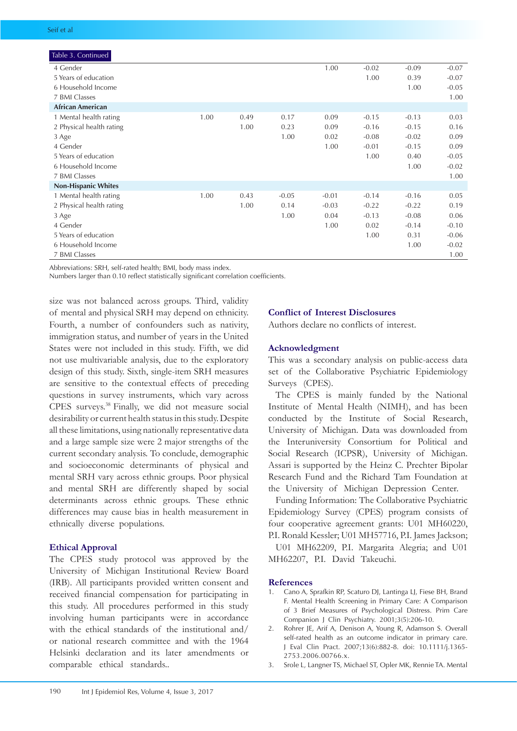| Table 3. Continued         |      |      |         |         |         |         |         |
|----------------------------|------|------|---------|---------|---------|---------|---------|
| 4 Gender                   |      |      |         | 1.00    | $-0.02$ | $-0.09$ | $-0.07$ |
| 5 Years of education       |      |      |         |         | 1.00    | 0.39    | $-0.07$ |
| 6 Household Income         |      |      |         |         |         | 1.00    | $-0.05$ |
| 7 BMI Classes              |      |      |         |         |         |         | 1.00    |
| <b>African American</b>    |      |      |         |         |         |         |         |
| 1 Mental health rating     | 1.00 | 0.49 | 0.17    | 0.09    | $-0.15$ | $-0.13$ | 0.03    |
| 2 Physical health rating   |      | 1.00 | 0.23    | 0.09    | $-0.16$ | $-0.15$ | 0.16    |
| 3 Age                      |      |      | 1.00    | 0.02    | $-0.08$ | $-0.02$ | 0.09    |
| 4 Gender                   |      |      |         | 1.00    | $-0.01$ | $-0.15$ | 0.09    |
| 5 Years of education       |      |      |         |         | 1.00    | 0.40    | $-0.05$ |
| 6 Household Income         |      |      |         |         |         | 1.00    | $-0.02$ |
| 7 BMI Classes              |      |      |         |         |         |         | 1.00    |
| <b>Non-Hispanic Whites</b> |      |      |         |         |         |         |         |
| 1 Mental health rating     | 1.00 | 0.43 | $-0.05$ | $-0.01$ | $-0.14$ | $-0.16$ | 0.05    |
| 2 Physical health rating   |      | 1.00 | 0.14    | $-0.03$ | $-0.22$ | $-0.22$ | 0.19    |
| 3 Age                      |      |      | 1.00    | 0.04    | $-0.13$ | $-0.08$ | 0.06    |
| 4 Gender                   |      |      |         | 1.00    | 0.02    | $-0.14$ | $-0.10$ |
| 5 Years of education       |      |      |         |         | 1.00    | 0.31    | $-0.06$ |
| 6 Household Income         |      |      |         |         |         | 1.00    | $-0.02$ |
| 7 BMI Classes              |      |      |         |         |         |         | 1.00    |

Abbreviations: SRH, self-rated health; BMI, body mass index.

Numbers larger than 0.10 reflect statistically significant correlation coefficients.

size was not balanced across groups. Third, validity of mental and physical SRH may depend on ethnicity. Fourth, a number of confounders such as nativity, immigration status, and number of years in the United States were not included in this study. Fifth, we did not use multivariable analysis, due to the exploratory design of this study. Sixth, single-item SRH measures are sensitive to the contextual effects of preceding questions in survey instruments, which vary across CPES surveys.38 Finally, we did not measure social desirability or current health status in this study. Despite all these limitations, using nationally representative data and a large sample size were 2 major strengths of the current secondary analysis. To conclude, demographic and socioeconomic determinants of physical and mental SRH vary across ethnic groups. Poor physical and mental SRH are differently shaped by social determinants across ethnic groups. These ethnic differences may cause bias in health measurement in ethnically diverse populations.

#### **Ethical Approval**

The CPES study protocol was approved by the University of Michigan Institutional Review Board (IRB). All participants provided written consent and received financial compensation for participating in this study. All procedures performed in this study involving human participants were in accordance with the ethical standards of the institutional and/ or national research committee and with the 1964 Helsinki declaration and its later amendments or comparable ethical standards..

#### **Conflict of Interest Disclosures**

Authors declare no conflicts of interest.

#### **Acknowledgment**

This was a secondary analysis on public-access data set of the Collaborative Psychiatric Epidemiology Surveys (CPES).

The CPES is mainly funded by the National Institute of Mental Health (NIMH), and has been conducted by the Institute of Social Research, University of Michigan. Data was downloaded from the Interuniversity Consortium for Political and Social Research (ICPSR), University of Michigan. Assari is supported by the Heinz C. Prechter Bipolar Research Fund and the Richard Tam Foundation at the University of Michigan Depression Center.

Funding Information: The Collaborative Psychiatric Epidemiology Survey (CPES) program consists of four cooperative agreement grants: U01 MH60220, P.I. Ronald Kessler; U01 MH57716, P.I. James Jackson; U01 MH62209, P.I. Margarita Alegria; and U01 MH62207, P.I. David Takeuchi.

#### **References**

- 1. Cano A, Sprafkin RP, Scaturo DJ, Lantinga LJ, Fiese BH, Brand F. Mental Health Screening in Primary Care: A Comparison of 3 Brief Measures of Psychological Distress. Prim Care Companion J Clin Psychiatry. 2001;3(5):206-10.
- 2. Rohrer JE, Arif A, Denison A, Young R, Adamson S. Overall self-rated health as an outcome indicator in primary care. J Eval Clin Pract. 2007;13(6):882-8. doi: 10.1111/j.1365- 2753.2006.00766.x.
- 3. Srole L, Langner TS, Michael ST, Opler MK, Rennie TA. Mental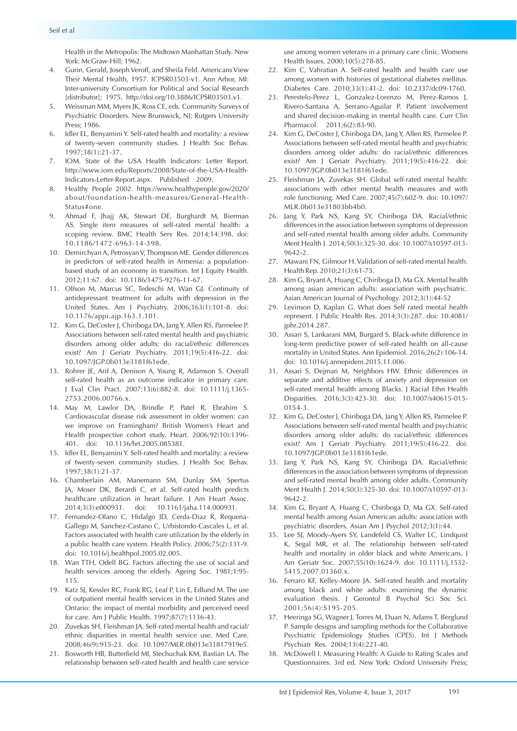Health in the Metropolis: The Midtown Manhattan Study. New York: McGraw-Hill; 1962.

- 4. Gurin, Gerald, Joseph Veroff, and Sheila Feld. Americans View Their Mental Health, 1957. ICPSR03503-v1. Ann Arbor, MI: Inter-university Consortium for Political and Social Research [distributor]; 1975. [http://doi.org/10.3886/ICPSR03503.v1.](http://doi.org/10.3886/ICPSR03503.v1)
- 5. Weissman MM, Myers JK, Ross CE, eds. Community Surveys of Psychiatric Disorders. New Brunswick, NJ: Rutgers University Press; 1986.
- 6. Idler EL, Benyamini Y. Self-rated health and mortality: a review of twenty-seven community studies. J Health Soc Behav. 1997;38(1):21-37.
- 7. IOM. State of the USA Health Indicators: Letter Report. [http://www.iom.edu/Reports/2008/State-of-the-USA-Health-](http://www.iom.edu/Reports/2008/State-of-the-USA-Health-Indicators-Letter-Report.aspx)[Indicators-Letter-Report.aspx](http://www.iom.edu/Reports/2008/State-of-the-USA-Health-Indicators-Letter-Report.aspx). Published 2009.
- 8. Healthy People 2002. [https://www.healthypeople.gov/2020/](https://www.healthypeople.gov/2020/about/foundation-health-measures/General-Health-Status#one) [about/foundation-health-measures/General-Health-](https://www.healthypeople.gov/2020/about/foundation-health-measures/General-Health-Status#one)[Status#one.](https://www.healthypeople.gov/2020/about/foundation-health-measures/General-Health-Status#one)
- 9. Ahmad F, Jhajj AK, Stewart DE, Burghardt M, Bierman AS. Single item measures of self-rated mental health: a scoping review. BMC Health Serv Res. 2014;14:398. doi: 10.1186/1472-6963-14-398.
- 10. Demirchyan A, Petrosyan V, Thompson ME. Gender differences in predictors of self-rated health in Armenia: a populationbased study of an economy in transition. Int J Equity Health. 2012;11:67. doi: 10.1186/1475-9276-11-67.
- 11. Olfson M, Marcus SC, Tedeschi M, Wan GJ. Continuity of antidepressant treatment for adults with depression in the United States. Am J Psychiatry. 2006;163(1):101-8. doi: 10.1176/appi.ajp.163.1.101.
- 12. Kim G, DeCoster J, Chiriboga DA, Jang Y, Allen RS, Parmelee P. Associations between self-rated mental health and psychiatric disorders among older adults: do racial/ethnic differences exist? Am J Geriatr Psychiatry. 2011;19(5):416-22. doi: 10.1097/JGP.0b013e3181f61ede.
- 13. Rohrer JE, Arif A, Denison A, Young R, Adamson S. Overall self-rated health as an outcome indicator in primary care. J Eval Clin Pract. 2007;13(6):882-8. doi: 10.1111/j.1365- 2753.2006.00766.x.
- 14. May M, Lawlor DA, Brindle P, Patel R, Ebrahim S. Cardiovascular disease risk assessment in older women: can we improve on Framingham? British Women's Heart and Health prospective cohort study. Heart. 2006;92(10):1396- 401. doi: 10.1136/hrt.2005.085381.
- 15. Idler EL, Benyamini Y. Self-rated health and mortality: a review of twenty-seven community studies. J Health Soc Behav. 1997;38(1):21-37.
- 16. Chamberlain AM, Manemann SM, Dunlay SM, Spertus JA, Moser DK, Berardi C, et al. Self-rated health predicts healthcare utilization in heart failure. J Am Heart Assoc. 2014;3(3):e000931. doi: 10.1161/jaha.114.000931.
- 17. Fernandez-Olano C, Hidalgo JD, Cerda-Diaz R, Requena-Gallego M, Sanchez-Castano C, Urbistondo-Cascales L, et al. Factors associated with health care utilization by the elderly in a public health care system. Health Policy. 2006;75(2):131-9. doi: 10.1016/j.healthpol.2005.02.005.
- 18. Wan TTH, Odell BG. Factors affecting the use of social and health services among the elderly. Ageing Soc. 1981;1:95- 115.
- 19. Katz SJ, Kessler RC, Frank RG, Leaf P, Lin E, Edlund M. The use of outpatient mental health services in the United States and Ontario: the impact of mental morbidity and perceived need for care. Am J Public Health. 1997;87(7):1136-43.
- 20. Zuvekas SH, Fleishman JA. Self-rated mental health and racial/ ethnic disparities in mental health service use. Med Care. 2008;46(9):915-23. doi: 10.1097/MLR.0b013e31817919e5.
- 21. Bosworth HB, Butterfield MI, Stechuchak KM, Bastian LA. The relationship between self-rated health and health care service

use among women veterans in a primary care clinic. Womens Health Issues. 2000;10(5):278-85.

- 22. Kim C, Vahratian A. Self-rated health and health care use among women with histories of gestational diabetes mellitus. Diabetes Care. 2010;33(1):41-2. doi: 10.2337/dc09-1760.
- 23. Perestelo-Perez L, Gonzalez-Lorenzo M, Perez-Ramos J, Rivero-Santana A, Serrano-Aguilar P. Patient involvement and shared decision-making in mental health care. Curr Clin Pharmacol. 2011;6(2):83-90.
- 24. Kim G, DeCoster J, Chiriboga DA, Jang Y, Allen RS, Parmelee P. Associations between self-rated mental health and psychiatric disorders among older adults: do racial/ethnic differences exist? Am J Geriatr Psychiatry. 2011;19(5):416-22. doi: 10.1097/JGP.0b013e3181f61ede.
- 25. Fleishman JA, Zuvekas SH. Global self-rated mental health: associations with other mental health measures and with role functioning. Med Care. 2007;45(7):602-9. doi: 10.1097/ MLR.0b013e31803bb4b0.
- 26. Jang Y, Park NS, Kang SY, Chiriboga DA. Racial/ethnic differences in the association between symptoms of depression and self-rated mental health among older adults. Community Ment Health J. 2014;50(3):325-30. doi: 10.1007/s10597-013- 9642-2.
- 27. Mawani FN, Gilmour H. Validation of self-rated mental health. Health Rep. 2010;21(3):61-75.
- 28. Kim G, Bryant A, Huang C, Chiriboga D, Ma GX. Mental health among asian american adults: association with psychiatric. Asian American Journal of Psychology. 2012;3(1):44-52
- 29. Levinson D, Kaplan G. What does Self rated mental health represent. J Public Health Res. 2014;3(3):287. doi: 10.4081/ jphr.2014.287.
- 30. Assari S, Lankarani MM, Burgard S. Black-white difference in long-term predictive power of self-rated health on all-cause mortality in United States. Ann Epidemiol. 2016;26(2):106-14. doi: 10.1016/j.annepidem.2015.11.006.
- 31. Assari S, Dejman M, Neighbors HW. Ethnic differences in separate and additive effects of anxiety and depression on self-rated mental health among Blacks. J Racial Ethn Health Disparities. 2016;3(3):423-30. doi: 10.1007/s40615-015- 0154-3.
- 32. Kim G, DeCoster J, Chiriboga DA, Jang Y, Allen RS, Parmelee P. Associations between self-rated mental health and psychiatric disorders among older adults: do racial/ethnic differences exist? Am J Geriatr Psychiatry. 2011;19(5):416-22. doi: 10.1097/JGP.0b013e3181f61ede.
- 33. Jang Y, Park NS, Kang SY, Chiriboga DA. Racial/ethnic differences in the association between symptoms of depression and self-rated mental health among older adults. Community Ment Health J. 2014;50(3):325-30. doi: 10.1007/s10597-013- 9642-2.
- 34. Kim G, Bryant A, Huang C, Chiriboga D, Ma GX. Self-rated mental health among Asian American adults: association with psychiatric disorders. Asian Am J Psychol 2012;3(1):44.
- 35. Lee SJ, Moody-Ayers SY, Landefeld CS, Walter LC, Lindquist K, Segal MR, et al. The relationship between self-rated health and mortality in older black and white Americans. J Am Geriatr Soc. 2007;55(10):1624-9. doi: 10.1111/j.1532- 5415.2007.01360.x.
- 36. Ferraro KF, Kelley-Moore JA. Self-rated health and mortality among black and white adults: examining the dynamic evaluation thesis. J Gerontol B Psychol Sci Soc Sci. 2001;56(4):S195-205.
- 37. Heeringa SG, Wagner J, Torres M, Duan N, Adams T, Berglund P. Sample designs and sampling methods for the Collaborative Psychiatric Epidemiology Studies (CPES). Int J Methods Psychiatr Res. 2004;13(4):221-40.
- 38. McDowell I. Measuring Health: A Guide to Rating Scales and Questionnaires. 3rd ed. New York: Oxford University Press;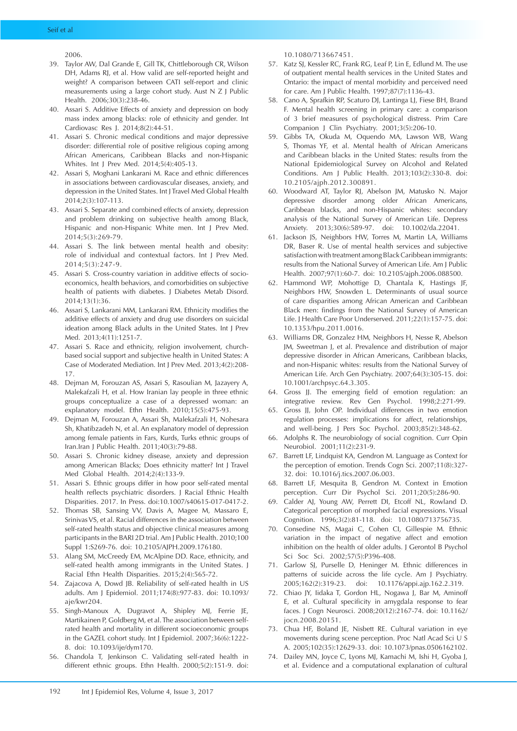#### Seif et al

2006.

- 39. Taylor AW, Dal Grande E, Gill TK, Chittleborough CR, Wilson DH, Adams RJ, et al. How valid are self-reported height and weight? A comparison between CATI self-report and clinic measurements using a large cohort study. Aust N Z J Public Health. 2006;30(3):238-46.
- 40. Assari S. Additive Effects of anxiety and depression on body mass index among blacks: role of ethnicity and gender. Int Cardiovasc Res J. 2014;8(2):44-51.
- 41. Assari S. Chronic medical conditions and major depressive disorder: differential role of positive religious coping among African Americans, Caribbean Blacks and non-Hispanic Whites. Int J Prev Med. 2014;5(4):405-13.
- 42. Assari S, Moghani Lankarani M. Race and ethnic differences in associations between cardiovascular diseases, anxiety, and depression in the United States. Int J Travel Med Global Health 2014;2(3):107-113.
- 43. Assari S. Separate and combined effects of anxiety, depression and problem drinking on subjective health among Black, Hispanic and non-Hispanic White men. Int J Prev Med. 2014;5(3):269-79.
- 44. Assari S. The link between mental health and obesity: role of individual and contextual factors. Int J Prev Med. 2014;5(3):247-9.
- 45. Assari S. Cross-country variation in additive effects of socioeconomics, health behaviors, and comorbidities on subjective health of patients with diabetes. J Diabetes Metab Disord. 2014;13(1):36.
- 46. Assari S, Lankarani MM, Lankarani RM. Ethnicity modifies the additive effects of anxiety and drug use disorders on suicidal ideation among Black adults in the United States. Int J Prev Med. 2013;4(11):1251-7.
- 47. Assari S. Race and ethnicity, religion involvement, churchbased social support and subjective health in United States: A Case of Moderated Mediation. Int J Prev Med. 2013;4(2):208- 17.
- 48. Dejman M, Forouzan AS, Assari S, Rasoulian M, Jazayery A, Malekafzali H, et al. How Iranian lay people in three ethnic groups conceptualize a case of a depressed woman: an explanatory model. Ethn Health. 2010;15(5):475-93.
- 49. Dejman M, Forouzan A, Assari Sh, Malekafzali H, Nohesara Sh, Khatibzadeh N, et al. An explanatory model of depression among female patients in Fars, Kurds, Turks ethnic groups of Iran.Iran J Public Health. 2011;40(3):79-88.
- 50. Assari S. Chronic kidney disease, anxiety and depression among American Blacks; Does ethnicity matter? Int J Travel Med Global Health. 2014;2(4):133-9.
- 51. Assari S. Ethnic groups differ in how poor self-rated mental health reflects psychiatric disorders. J Racial Ethnic Health Disparities. 2017. In Press. doi:10.1007/s40615-017-0417-2.
- 52. Thomas SB, Sansing VV, Davis A, Magee M, Massaro E, Srinivas VS, et al. Racial differences in the association between self-rated health status and objective clinical measures among participants in the BARI 2D trial. Am J Public Health. 2010;100 Suppl 1:S269-76. doi: 10.2105/AJPH.2009.176180.
- 53. Alang SM, McCreedy EM, McAlpine DD. Race, ethnicity, and self-rated health among immigrants in the United States. J Racial Ethn Health Disparities. 2015;2(4):565-72.
- 54. Zajacova A, Dowd JB. Reliability of self-rated health in US adults. Am J Epidemiol. 2011;174(8):977-83. doi: 10.1093/ aje/kwr204.
- 55. Singh-Manoux A, Dugravot A, Shipley MJ, Ferrie JE, Martikainen P, Goldberg M, et al. The association between selfrated health and mortality in different socioeconomic groups in the GAZEL cohort study. Int J Epidemiol. 2007;36(6):1222- 8. doi: 10.1093/ije/dym170.
- 56. Chandola T, Jenkinson C. Validating self-rated health in different ethnic groups. Ethn Health. 2000;5(2):151-9. doi:

10.1080/713667451.

- 57. Katz SJ, Kessler RC, Frank RG, Leaf P, Lin E, Edlund M. The use of outpatient mental health services in the United States and Ontario: the impact of mental morbidity and perceived need for care. Am J Public Health. 1997;87(7):1136-43.
- 58. Cano A, Sprafkin RP, Scaturo DJ, Lantinga LJ, Fiese BH, Brand F. Mental health screening in primary care: a comparison of 3 brief measures of psychological distress. Prim Care Companion J Clin Psychiatry. 2001;3(5):206-10.
- 59. Gibbs TA, Okuda M, Oquendo MA, Lawson WB, Wang S, Thomas YF, et al. Mental health of African Americans and Caribbean blacks in the United States: results from the National Epidemiological Survey on Alcohol and Related Conditions. Am J Public Health. 2013;103(2):330-8. doi: 10.2105/ajph.2012.300891.
- 60. Woodward AT, Taylor RJ, Abelson JM, Matusko N. Major depressive disorder among older African Americans, Caribbean blacks, and non-Hispanic whites: secondary analysis of the National Survey of American Life. Depress Anxiety. 2013;30(6):589-97. doi: 10.1002/da.22041.
- 61. Jackson JS, Neighbors HW, Torres M, Martin LA, Williams DR, Baser R. Use of mental health services and subjective satisfaction with treatment among Black Caribbean immigrants: results from the National Survey of American Life. Am J Public Health. 2007;97(1):60-7. doi: 10.2105/ajph.2006.088500.
- 62. Hammond WP, Mohottige D, Chantala K, Hastings JF, Neighbors HW, Snowden L. Determinants of usual source of care disparities among African American and Caribbean Black men: findings from the National Survey of American Life. J Health Care Poor Underserved. 2011;22(1):157-75. doi: 10.1353/hpu.2011.0016.
- 63. Williams DR, Gonzalez HM, Neighbors H, Nesse R, Abelson JM, Sweetman J, et al. Prevalence and distribution of major depressive disorder in African Americans, Caribbean blacks, and non-Hispanic whites: results from the National Survey of American Life. Arch Gen Psychiatry. 2007;64(3):305-15. doi: 10.1001/archpsyc.64.3.305.
- 64. Gross JJ. The emerging field of emotion regulation: an integrative review. Rev Gen Psychol. 1998;2:271-99.
- 65. Gross JJ, John OP. Individual differences in two emotion regulation processes: implications for affect, relationships, and well-being. J Pers Soc Psychol. 2003;85(2):348-62.
- 66. Adolphs R. The neurobiology of social cognition. Curr Opin Neurobiol. 2001;11(2):231-9.
- 67. Barrett LF, Lindquist KA, Gendron M. Language as Context for the perception of emotion. Trends Cogn Sci. 2007;11(8):327- 32. doi: 10.1016/j.tics.2007.06.003.
- 68. Barrett LF, Mesquita B, Gendron M. Context in Emotion perception. Curr Dir Psychol Sci. 2011;20(5):286-90.
- 69. Calder AJ, Young AW, Perrett DI, Etcoff NL, Rowland D. Categorical perception of morphed facial expressions. Visual Cognition. 1996;3(2):81-118. doi: 10.1080/713756735.
- 70. Consedine NS, Magai C, Cohen CI, Gillespie M. Ethnic variation in the impact of negative affect and emotion inhibition on the health of older adults. J Gerontol B Psychol Sci Soc Sci. 2002;57(5):P396-408.
- 71. Garlow SJ, Purselle D, Heninger M. Ethnic differences in patterns of suicide across the life cycle. Am J Psychiatry. 2005;162(2):319-23. doi: 10.1176/appi.ajp.162.2.319.
- 72. Chiao JY, Iidaka T, Gordon HL, Nogawa J, Bar M, Aminoff E, et al. Cultural specificity in amygdala response to fear faces. J Cogn Neurosci. 2008;20(12):2167-74. doi: 10.1162/ jocn.2008.20151.
- 73. Chua HF, Boland JE, Nisbett RE. Cultural variation in eye movements during scene perception. Proc Natl Acad Sci U S A. 2005;102(35):12629-33. doi: 10.1073/pnas.0506162102.
- 74. Dailey MN, Joyce C, Lyons MJ, Kamachi M, Ishi H, Gyoba J, et al. Evidence and a computational explanation of cultural